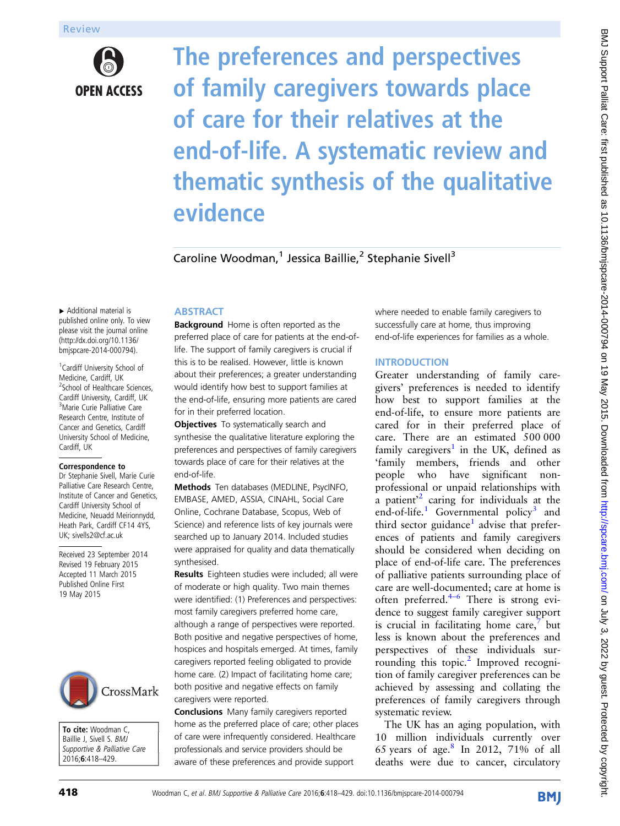

The preferences and perspectives of family caregivers towards place of care for their relatives at the end-of-life. A systematic review and thematic synthesis of the qualitative evidence

Caroline Woodman,<sup>1</sup> Jessica Baillie,<sup>2</sup> Stephanie Sivell<sup>3</sup>

▸ Additional material is published online only. To view please visit the journal online ([http://dx.doi.org/10.1136/](http://dx.doi.org/10.1136/bmjspcare-2014-000794) [bmjspcare-2014-000794](http://dx.doi.org/10.1136/bmjspcare-2014-000794)).

<sup>1</sup> Cardiff University School of Medicine, Cardiff, UK <sup>2</sup>School of Healthcare Sciences, Cardiff University, Cardiff, UK <sup>3</sup>Marie Curie Palliative Care Research Centre, Institute of Cancer and Genetics, Cardiff University School of Medicine, Cardiff, UK

#### Correspondence to

Dr Stephanie Sivell, Marie Curie Palliative Care Research Centre, Institute of Cancer and Genetics, Cardiff University School of Medicine, Neuadd Meirionnydd, Heath Park, Cardiff CF14 4YS, UK; sivells2@cf.ac.uk

Received 23 September 2014 Revised 19 February 2015 Accepted 11 March 2015 Published Online First 19 May 2015



To cite: Woodman C, Baillie J, Sivell S. BMJ Supportive & Palliative Care 2016;6:418–429.

# **ABSTRACT**

**Background** Home is often reported as the preferred place of care for patients at the end-oflife. The support of family caregivers is crucial if this is to be realised. However, little is known about their preferences; a greater understanding would identify how best to support families at the end-of-life, ensuring more patients are cared for in their preferred location.

**Objectives** To systematically search and synthesise the qualitative literature exploring the preferences and perspectives of family caregivers towards place of care for their relatives at the end-of-life.

Methods Ten databases (MEDLINE, PsycINFO, EMBASE, AMED, ASSIA, CINAHL, Social Care Online, Cochrane Database, Scopus, Web of Science) and reference lists of key journals were searched up to January 2014. Included studies were appraised for quality and data thematically synthesised.

Results Eighteen studies were included; all were of moderate or high quality. Two main themes were identified: (1) Preferences and perspectives: most family caregivers preferred home care, although a range of perspectives were reported. Both positive and negative perspectives of home, hospices and hospitals emerged. At times, family caregivers reported feeling obligated to provide home care. (2) Impact of facilitating home care; both positive and negative effects on family caregivers were reported.

Conclusions Many family caregivers reported home as the preferred place of care; other places of care were infrequently considered. Healthcare professionals and service providers should be aware of these preferences and provide support

where needed to enable family caregivers to successfully care at home, thus improving end-of-life experiences for families as a whole.

# **INTRODUCTION**

Greater understanding of family caregivers' preferences is needed to identify how best to support families at the end-of-life, to ensure more patients are cared for in their preferred place of care. There are an estimated 500 000 family caregivers<sup>[1](#page-9-0)</sup> in the UK, defined as 'family members, friends and other people who have significant nonprofessional or unpaid relationships with a patient' [2](#page-9-0) caring for individuals at the end-of-life. $1$  Governmental policy<sup>[3](#page-9-0)</sup> and third sector guidance<sup>[1](#page-9-0)</sup> advise that preferences of patients and family caregivers should be considered when deciding on place of end-of-life care. The preferences of palliative patients surrounding place of care are well-documented; care at home is often preferred. $4-6$  $4-6$  There is strong evidence to suggest family caregiver support is crucial in facilitating home care, $\theta$  but less is known about the preferences and perspectives of these individuals sur-rounding this topic.<sup>[2](#page-9-0)</sup> Improved recognition of family caregiver preferences can be achieved by assessing and collating the preferences of family caregivers through systematic review.

The UK has an aging population, with 10 million individuals currently over 65 years of age.<sup>[8](#page-10-0)</sup> In 2012, 71% of all deaths were due to cancer, circulatory

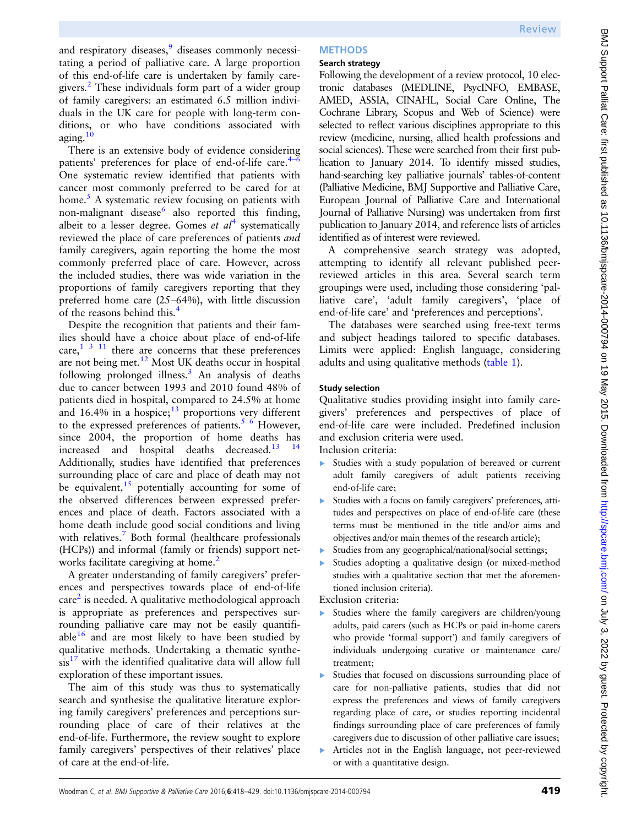and respiratory diseases,<sup>[9](#page-10-0)</sup> diseases commonly necessitating a period of palliative care. A large proportion of this end-of-life care is undertaken by family caregivers.[2](#page-9-0) These individuals form part of a wider group of family caregivers: an estimated 6.5 million individuals in the UK care for people with long-term conditions, or who have conditions associated with aging.[10](#page-10-0)

There is an extensive body of evidence considering patients' preferences for place of end-of-life care. $4-6$  $4-6$ One systematic review identified that patients with cancer most commonly preferred to be cared for at home.<sup>[5](#page-9-0)</sup> A systematic review focusing on patients with non-malignant disease also reported this finding, albeit to a lesser degree. Gomes *et al*<sup>[4](#page-9-0)</sup> systematically reviewed the place of care preferences of patients and family caregivers, again reporting the home the most commonly preferred place of care. However, across the included studies, there was wide variation in the proportions of family caregivers reporting that they preferred home care (25–64%), with little discussion of the reasons behind this.<sup>[4](#page-9-0)</sup>

Despite the recognition that patients and their families should have a choice about place of end-of-life care, $1 \t3 \t11$  there are concerns that these preferences are not being met.[12](#page-10-0) Most UK deaths occur in hospital following prolonged illness.[3](#page-9-0) An analysis of deaths due to cancer between 1993 and 2010 found 48% of patients died in hospital, compared to 24.5% at home and  $16.4\%$  in a hospice;<sup>[13](#page-10-0)</sup> proportions very different to the expressed preferences of patients.<sup>[5 6](#page-9-0)</sup> However, since 2004, the proportion of home deaths has increased and hospital deaths decreased. $13$ Additionally, studies have identified that preferences surrounding place of care and place of death may not be equivalent,  $15$  potentially accounting for some of the observed differences between expressed preferences and place of death. Factors associated with a home death include good social conditions and living with relatives.<sup>[7](#page-10-0)</sup> Both formal (healthcare professionals (HCPs)) and informal (family or friends) support net-works facilitate caregiving at home.<sup>[2](#page-9-0)</sup>

A greater understanding of family caregivers' preferences and perspectives towards place of end-of-life  $care<sup>2</sup>$  $care<sup>2</sup>$  $care<sup>2</sup>$  is needed. A qualitative methodological approach is appropriate as preferences and perspectives surrounding palliative care may not be easily quantifiable $16$  and are most likely to have been studied by qualitative methods. Undertaking a thematic synthe- $sis<sup>17</sup>$  $sis<sup>17</sup>$  $sis<sup>17</sup>$  with the identified qualitative data will allow full exploration of these important issues.

The aim of this study was thus to systematically search and synthesise the qualitative literature exploring family caregivers' preferences and perceptions surrounding place of care of their relatives at the end-of-life. Furthermore, the review sought to explore family caregivers' perspectives of their relatives' place of care at the end-of-life.

## Search strategy

Following the development of a review protocol, 10 electronic databases (MEDLINE, PsycINFO, EMBASE, AMED, ASSIA, CINAHL, Social Care Online, The Cochrane Library, Scopus and Web of Science) were selected to reflect various disciplines appropriate to this review (medicine, nursing, allied health professions and social sciences). These were searched from their first publication to January 2014. To identify missed studies, hand-searching key palliative journals' tables-of-content (Palliative Medicine, BMJ Supportive and Palliative Care, European Journal of Palliative Care and International Journal of Palliative Nursing) was undertaken from first publication to January 2014, and reference lists of articles identified as of interest were reviewed.

A comprehensive search strategy was adopted, attempting to identify all relevant published peerreviewed articles in this area. Several search term groupings were used, including those considering 'palliative care', 'adult family caregivers', 'place of end-of-life care' and 'preferences and perceptions'.

The databases were searched using free-text terms and subject headings tailored to specific databases. Limits were applied: English language, considering adults and using qualitative methods ([table 1\)](#page-2-0).

# Study selection

Qualitative studies providing insight into family caregivers' preferences and perspectives of place of end-of-life care were included. Predefined inclusion and exclusion criteria were used.

Inclusion criteria:

- ▸ Studies with a study population of bereaved or current adult family caregivers of adult patients receiving end-of-life care;
- ▸ Studies with a focus on family caregivers' preferences, attitudes and perspectives on place of end-of-life care (these terms must be mentioned in the title and/or aims and objectives and/or main themes of the research article);
- Studies from any geographical/national/social settings;
- Studies adopting a qualitative design (or mixed-method studies with a qualitative section that met the aforementioned inclusion criteria).

Exclusion criteria:

- ▸ Studies where the family caregivers are children/young adults, paid carers (such as HCPs or paid in-home carers who provide 'formal support') and family caregivers of individuals undergoing curative or maintenance care/ treatment;
- Studies that focused on discussions surrounding place of care for non-palliative patients, studies that did not express the preferences and views of family caregivers regarding place of care, or studies reporting incidental findings surrounding place of care preferences of family caregivers due to discussion of other palliative care issues;
- ▸ Articles not in the English language, not peer-reviewed or with a quantitative design.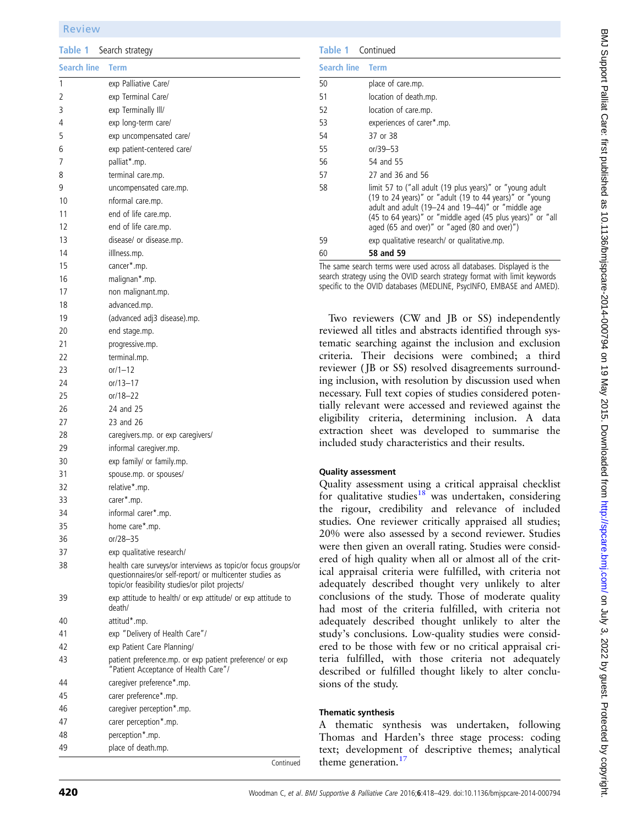### <span id="page-2-0"></span>Review

Table 1 Search strategy

| <b>Search line</b> | <b>Term</b>                                                                                                                                                                  |
|--------------------|------------------------------------------------------------------------------------------------------------------------------------------------------------------------------|
| 1                  | exp Palliative Care/                                                                                                                                                         |
| 2                  | exp Terminal Care/                                                                                                                                                           |
| 3                  | exp Terminally III/                                                                                                                                                          |
| 4                  | exp long-term care/                                                                                                                                                          |
| 5                  | exp uncompensated care/                                                                                                                                                      |
| 6                  | exp patient-centered care/                                                                                                                                                   |
| 7                  | palliat*.mp.                                                                                                                                                                 |
| 8                  | terminal care.mp.                                                                                                                                                            |
| 9                  | uncompensated care.mp.                                                                                                                                                       |
| 10                 | nformal care.mp.                                                                                                                                                             |
| 11                 | end of life care.mp.                                                                                                                                                         |
| 12                 | end of life care.mp.                                                                                                                                                         |
| 13                 | disease/ or disease.mp.                                                                                                                                                      |
| 14                 | illlness.mp.                                                                                                                                                                 |
|                    |                                                                                                                                                                              |
| 15                 | cancer*.mp.                                                                                                                                                                  |
| 16                 | malignan*.mp.                                                                                                                                                                |
| 17                 | non malignant.mp.                                                                                                                                                            |
| 18                 | advanced.mp.                                                                                                                                                                 |
| 19                 | (advanced adj3 disease).mp.                                                                                                                                                  |
| 20                 | end stage.mp.                                                                                                                                                                |
| 21                 | progressive.mp.                                                                                                                                                              |
| 22                 | terminal.mp.                                                                                                                                                                 |
| 23                 | $or/1 - 12$                                                                                                                                                                  |
| 24                 | or/13-17                                                                                                                                                                     |
| 25                 | or/18-22                                                                                                                                                                     |
| 26                 | 24 and 25                                                                                                                                                                    |
| 27                 | 23 and 26                                                                                                                                                                    |
| 28                 | caregivers.mp. or exp caregivers/                                                                                                                                            |
| 29                 | informal caregiver.mp.                                                                                                                                                       |
| 30                 | exp family/ or family.mp.                                                                                                                                                    |
| 31                 | spouse.mp. or spouses/                                                                                                                                                       |
| 32                 | relative*.mp.                                                                                                                                                                |
| 33                 | carer*.mp.                                                                                                                                                                   |
| 34                 | informal carer*.mp.                                                                                                                                                          |
| 35                 | home care*.mp.                                                                                                                                                               |
| 36                 | or/28-35                                                                                                                                                                     |
| 37                 | exp qualitative research/                                                                                                                                                    |
| 38                 | health care surveys/or interviews as topic/or focus groups/or<br>questionnaires/or self-report/ or multicenter studies as<br>topic/or feasibility studies/or pilot projects/ |
| 39                 | exp attitude to health/ or exp attitude/ or exp attitude to<br>death/                                                                                                        |
| 40                 | attitud*.mp.                                                                                                                                                                 |
| 41                 | exp "Delivery of Health Care"/                                                                                                                                               |
| 42                 | exp Patient Care Planning/                                                                                                                                                   |
| 43                 | patient preference.mp. or exp patient preference/ or exp<br>"Patient Acceptance of Health Care"/                                                                             |
| 44                 | caregiver preference*.mp.                                                                                                                                                    |
| 45                 | carer preference*.mp.                                                                                                                                                        |
| 46                 | caregiver perception*.mp.                                                                                                                                                    |
| 47                 | carer perception*.mp.                                                                                                                                                        |
| 48                 | perception*.mp.                                                                                                                                                              |
| 49                 | place of death.mp.                                                                                                                                                           |

| <b>Table 1</b> Continued |                                                                                                                                                                                                                                                                                        |  |  |  |
|--------------------------|----------------------------------------------------------------------------------------------------------------------------------------------------------------------------------------------------------------------------------------------------------------------------------------|--|--|--|
| <b>Search line Term</b>  |                                                                                                                                                                                                                                                                                        |  |  |  |
| 50                       | place of care.mp.                                                                                                                                                                                                                                                                      |  |  |  |
| 51                       | location of death.mp.                                                                                                                                                                                                                                                                  |  |  |  |
| 52                       | location of care.mp.                                                                                                                                                                                                                                                                   |  |  |  |
| 53                       | experiences of carer*.mp.                                                                                                                                                                                                                                                              |  |  |  |
| 54                       | 37 or 38                                                                                                                                                                                                                                                                               |  |  |  |
| 55                       | $or/39 - 53$                                                                                                                                                                                                                                                                           |  |  |  |
| 56                       | 54 and 55                                                                                                                                                                                                                                                                              |  |  |  |
| 57                       | 27 and 36 and 56                                                                                                                                                                                                                                                                       |  |  |  |
| 58                       | limit 57 to ("all adult (19 plus years)" or "young adult<br>(19 to 24 years)" or "adult (19 to 44 years)" or "young<br>adult and adult (19-24 and 19-44)" or "middle age<br>(45 to 64 years)" or "middle aged (45 plus years)" or "all<br>aged (65 and over)" or "aged (80 and over)") |  |  |  |
| 59                       | exp qualitative research/ or qualitative.mp.                                                                                                                                                                                                                                           |  |  |  |
| 60                       | 58 and 59                                                                                                                                                                                                                                                                              |  |  |  |

The same search terms were used across all databases. Displayed is the search strategy using the OVID search strategy format with limit keywords specific to the OVID databases (MEDLINE, PsycINFO, EMBASE and AMED).

Two reviewers (CW and JB or SS) independently reviewed all titles and abstracts identified through systematic searching against the inclusion and exclusion criteria. Their decisions were combined; a third reviewer ( JB or SS) resolved disagreements surrounding inclusion, with resolution by discussion used when necessary. Full text copies of studies considered potentially relevant were accessed and reviewed against the eligibility criteria, determining inclusion. A data extraction sheet was developed to summarise the included study characteristics and their results.

### Quality assessment

Quality assessment using a critical appraisal checklist for qualitative studies $18$  was undertaken, considering the rigour, credibility and relevance of included studies. One reviewer critically appraised all studies; 20% were also assessed by a second reviewer. Studies were then given an overall rating. Studies were considered of high quality when all or almost all of the critical appraisal criteria were fulfilled, with criteria not adequately described thought very unlikely to alter conclusions of the study. Those of moderate quality had most of the criteria fulfilled, with criteria not adequately described thought unlikely to alter the study's conclusions. Low-quality studies were considered to be those with few or no critical appraisal criteria fulfilled, with those criteria not adequately described or fulfilled thought likely to alter conclusions of the study.

### Thematic synthesis

A thematic synthesis was undertaken, following Thomas and Harden's three stage process: coding text; development of descriptive themes; analytical theme generation. $17$ 

BMJ Support Palliat Care: first published as 10.1136/bmjspcare-2014-000794 on 19 May 2015. Downloaded from http://spcare.bmj.com/ on July 3, 2022 by guest. Protected by copyright BMJ Support Palliat Care: first published as 10.1136/bmjspcare-2014-000794 on 19 May 2015. Downloaded from <http://spcare.bmj.com/> on July 3, 2022 by guest. Protected by copyright.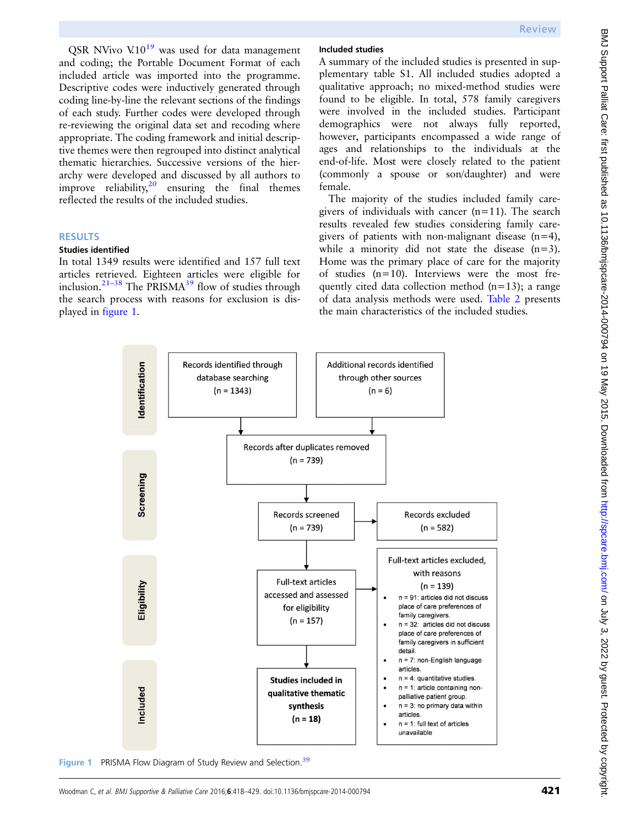QSR NVivo  $V<sub>10</sub><sup>19</sup>$  $V<sub>10</sub><sup>19</sup>$  $V<sub>10</sub><sup>19</sup>$  was used for data management and coding; the Portable Document Format of each included article was imported into the programme. Descriptive codes were inductively generated through coding line-by-line the relevant sections of the findings of each study. Further codes were developed through re-reviewing the original data set and recoding where appropriate. The coding framework and initial descriptive themes were then regrouped into distinct analytical thematic hierarchies. Successive versions of the hierarchy were developed and discussed by all authors to improve reliability, $2^0$  ensuring the final themes reflected the results of the included studies.

#### **RESULTS**

#### Studies identified

In total 1349 results were identified and 157 full text articles retrieved. Eighteen articles were eligible for inclusion.<sup>21–[38](#page-10-0)</sup> The PRISMA<sup>[39](#page-10-0)</sup> flow of studies through the search process with reasons for exclusion is displayed in figure 1.

#### Included studies

A summary of the included studies is presented in supplementary table S1. All included studies adopted a qualitative approach; no mixed-method studies were found to be eligible. In total, 578 family caregivers were involved in the included studies. Participant demographics were not always fully reported, however, participants encompassed a wide range of ages and relationships to the individuals at the end-of-life. Most were closely related to the patient (commonly a spouse or son/daughter) and were female.

The majority of the studies included family caregivers of individuals with cancer  $(n=11)$ . The search results revealed few studies considering family caregivers of patients with non-malignant disease  $(n=4)$ , while a minority did not state the disease  $(n=3)$ . Home was the primary place of care for the majority of studies (n=10). Interviews were the most frequently cited data collection method  $(n=13)$ ; a range of data analysis methods were used. [Table 2](#page-4-0) presents the main characteristics of the included studies.



Figure 1 PRISMA Flow Diagram of Study Review and Selection.<sup>[39](#page-10-0)</sup>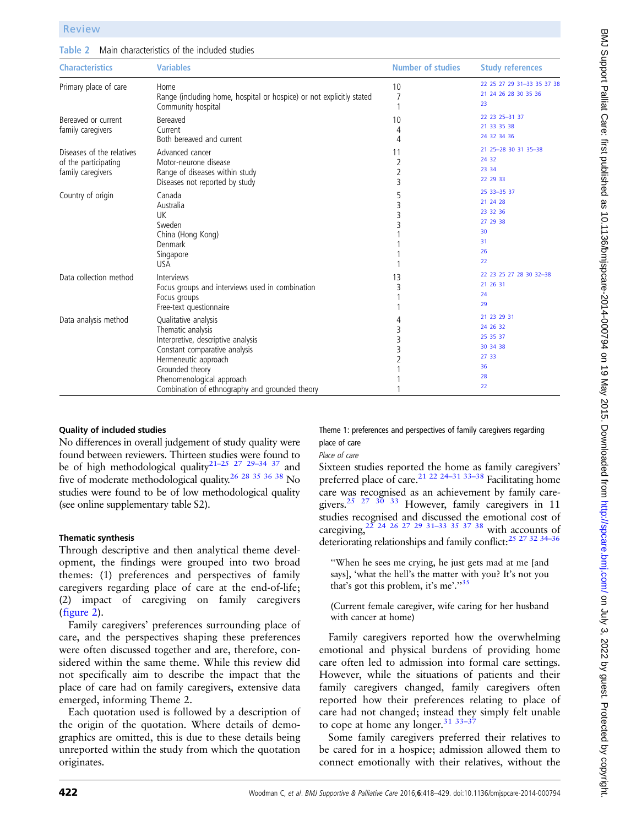<span id="page-4-0"></span>

| Table 2 Main characteristics of the included studies |
|------------------------------------------------------|
|------------------------------------------------------|

| <b>Characteristics</b>                                                 | <b>Variables</b>                                                                                                                                                                                                                           | <b>Number of studies</b>       | <b>Study references</b>                                                    |
|------------------------------------------------------------------------|--------------------------------------------------------------------------------------------------------------------------------------------------------------------------------------------------------------------------------------------|--------------------------------|----------------------------------------------------------------------------|
| Primary place of care                                                  | Home<br>Range (including home, hospital or hospice) or not explicitly stated<br>Community hospital                                                                                                                                         | 10<br>7                        | 22 25 27 29 31-33 35 37 38<br>21 24 26 28 30 35 36<br>23                   |
| Bereaved or current<br>family caregivers                               | Bereaved<br>Current<br>Both bereaved and current                                                                                                                                                                                           | 10<br>4<br>4                   | 22 23 25 - 31 37<br>21 33 35 38<br>24 32 34 36                             |
| Diseases of the relatives<br>of the participating<br>family caregivers | Advanced cancer<br>Motor-neurone disease<br>Range of diseases within study<br>Diseases not reported by study                                                                                                                               | 11<br>$\overline{2}$<br>2<br>3 | 21 25 - 28 30 31 35 - 38<br>24 32<br>23 34<br>22 29 33                     |
| Country of origin                                                      | Canada<br>Australia<br>UK<br>Sweden<br>China (Hong Kong)<br>Denmark<br>Singapore<br><b>USA</b>                                                                                                                                             | 5<br>3<br>3<br>3               | 25 33 - 35 37<br>21 24 28<br>23 32 36<br>27 29 38<br>30<br>31<br>26<br>22  |
| Data collection method                                                 | Interviews<br>Focus groups and interviews used in combination<br>Focus groups<br>Free-text questionnaire                                                                                                                                   | 13<br>3                        | 22 23 25 27 28 30 32-38<br>21 26 31<br>24<br>29                            |
| Data analysis method                                                   | Qualitative analysis<br>Thematic analysis<br>Interpretive, descriptive analysis<br>Constant comparative analysis<br>Hermeneutic approach<br>Grounded theory<br>Phenomenological approach<br>Combination of ethnography and grounded theory | 3<br>3<br>3                    | 21 23 29 31<br>24 26 32<br>25 35 37<br>30 34 38<br>27 33<br>36<br>28<br>22 |

## Quality of included studies

No differences in overall judgement of study quality were found between reviewers. Thirteen studies were found to be of high methodological quality<sup>21–25</sup> <sup>27</sup> <sup>29–34</sup> <sup>37</sup> and five of moderate methodological quality[.26 28 35 36 38](#page-10-0) No studies were found to be of low methodological quality (see online supplementary table S2).

### Thematic synthesis

Through descriptive and then analytical theme development, the findings were grouped into two broad themes: (1) preferences and perspectives of family caregivers regarding place of care at the end-of-life; (2) impact of caregiving on family caregivers ([figure 2\)](#page-5-0).

Family caregivers' preferences surrounding place of care, and the perspectives shaping these preferences were often discussed together and are, therefore, considered within the same theme. While this review did not specifically aim to describe the impact that the place of care had on family caregivers, extensive data emerged, informing Theme 2.

Each quotation used is followed by a description of the origin of the quotation. Where details of demographics are omitted, this is due to these details being unreported within the study from which the quotation originates.

Theme 1: preferences and perspectives of family caregivers regarding place of care

## Place of care

Sixteen studies reported the home as family caregivers' preferred place of care.<sup>[21 22 24](#page-10-0)-31 [33](#page-10-0)-38</sup> Facilitating home care was recognised as an achievement by family caregivers.<sup>25</sup> <sup>27</sup> <sup>30</sup> <sup>33</sup> However, family caregivers in 11 studies recognised and discussed the emotional cost of caregiving,  $2^{2}$  24 26 27 29 31–33 [35 37 38](#page-10-0) with accounts of deteriorating relationships and family conflict:<sup>25</sup> <sup>27</sup> <sup>32</sup> <sup>34-36</sup>

''When he sees me crying, he just gets mad at me [and says], 'what the hell's the matter with you? It's not you that's got this problem, it's me'."[35](#page-10-0)

(Current female caregiver, wife caring for her husband with cancer at home)

Family caregivers reported how the overwhelming emotional and physical burdens of providing home care often led to admission into formal care settings. However, while the situations of patients and their family caregivers changed, family caregivers often reported how their preferences relating to place of care had not changed; instead they simply felt unable to cope at home any longer. $31$   $33-3$ 

Some family caregivers preferred their relatives to be cared for in a hospice; admission allowed them to connect emotionally with their relatives, without the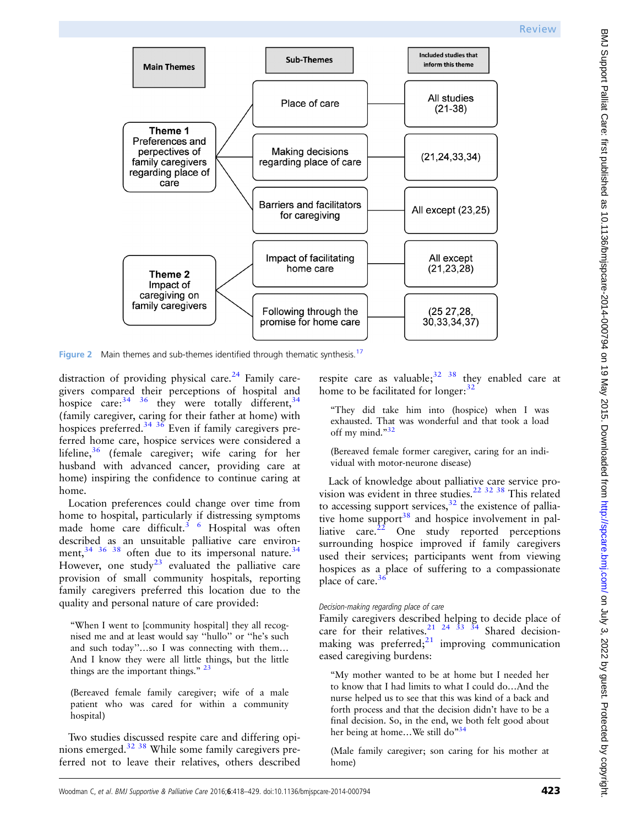<span id="page-5-0"></span>

Figure 2 Main themes and sub-themes identified through thematic synthesis.<sup>[17](#page-10-0)</sup>

distraction of providing physical care.<sup>[24](#page-10-0)</sup> Family caregivers compared their perceptions of hospital and hospice care:  $34^{36}$  $34^{36}$  they were totally different,  $34$ (family caregiver, caring for their father at home) with hospices preferred.<sup>[34 36](#page-10-0)</sup> Even if family caregivers preferred home care, hospice services were considered a lifeline,<sup>[36](#page-10-0)</sup> (female caregiver; wife caring for her husband with advanced cancer, providing care at home) inspiring the confidence to continue caring at home.

Location preferences could change over time from home to hospital, particularly if distressing symptoms made home care difficult.<sup>[3 6](#page-9-0)</sup> Hospital was often described as an unsuitable palliative care environment,  $34 \times 36 \times 38$  $34 \times 36 \times 38$  often due to its impersonal nature.  $34$ However, one study<sup>[23](#page-10-0)</sup> evaluated the palliative care provision of small community hospitals, reporting family caregivers preferred this location due to the quality and personal nature of care provided:

"When I went to [community hospital] they all recognised me and at least would say ''hullo'' or ''he's such and such today''…so I was connecting with them… And I know they were all little things, but the little things are the important things." [23](#page-10-0)

(Bereaved female family caregiver; wife of a male patient who was cared for within a community hospital)

Two studies discussed respite care and differing opinions emerged.[32 38](#page-10-0) While some family caregivers preferred not to leave their relatives, others described

respite care as valuable;  $32 \times 38$  they enabled care at home to be facilitated for longer:  $32$ 

"They did take him into (hospice) when I was exhausted. That was wonderful and that took a load off my mind."[32](#page-10-0)

(Bereaved female former caregiver, caring for an individual with motor-neurone disease)

Lack of knowledge about palliative care service provision was evident in three studies.[22 32 38](#page-10-0) This related to accessing support services, $32$  the existence of palliative home support $38$  and hospice involvement in palliative care. $22$  One study reported perceptions surrounding hospice improved if family caregivers used their services; participants went from viewing hospices as a place of suffering to a compassionate place of care. $36$ 

## Decision-making regarding place of care

Family caregivers described helping to decide place of care for their relatives.<sup>21</sup> <sup>24</sup> <sup>33</sup> <sup>34</sup> Shared decisionmaking was preferred; $21$  improving communication eased caregiving burdens:

"My mother wanted to be at home but I needed her to know that I had limits to what I could do…And the nurse helped us to see that this was kind of a back and forth process and that the decision didn't have to be a final decision. So, in the end, we both felt good about her being at home...We still do<sup>[34](#page-10-0)</sup>

(Male family caregiver; son caring for his mother at home)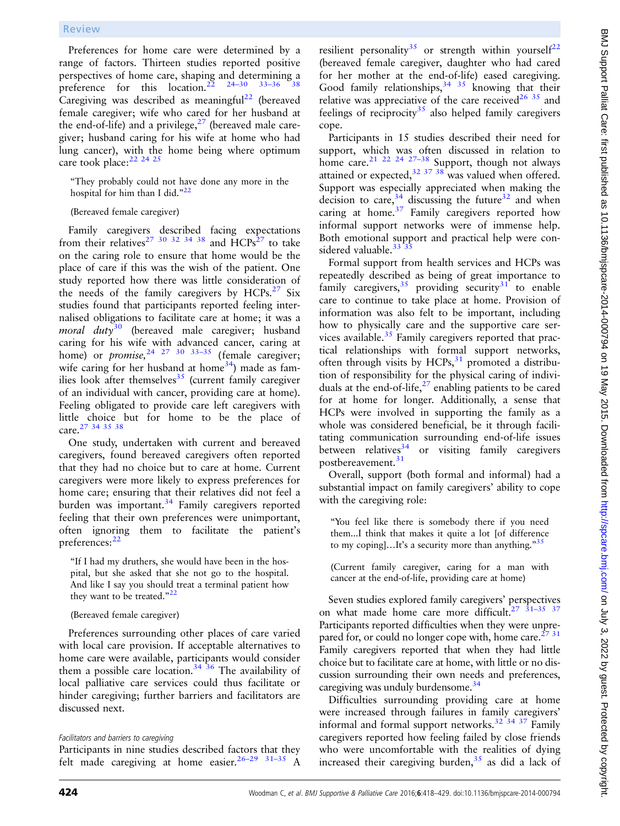Preferences for home care were determined by a range of factors. Thirteen studies reported positive perspectives of home care, shaping and determining a preference for this location.<sup>[22](#page-10-0)</sup> <sup>24–30</sup> <sup>33–36</sup> Caregiving was described as meaningful<sup>[22](#page-10-0)</sup> (bereaved female caregiver; wife who cared for her husband at the end-of-life) and a privilege, $27$  (bereaved male caregiver; husband caring for his wife at home who had lung cancer), with the home being where optimum care took place:<sup>[22 24 25](#page-10-0)</sup>

"They probably could not have done any more in the hospital for him than I did."[22](#page-10-0)

(Bereaved female caregiver)

Family caregivers described facing expectations from their relatives<sup>[27 30 32 34 38](#page-10-0)</sup> and  $HCPs^{27}$  $HCPs^{27}$  $HCPs^{27}$  to take on the caring role to ensure that home would be the place of care if this was the wish of the patient. One study reported how there was little consideration of the needs of the family caregivers by  $HCPs$ .<sup>[27](#page-10-0)</sup> Six studies found that participants reported feeling internalised obligations to facilitate care at home; it was a *moral duty*<sup>[30](#page-10-0)</sup> (bereaved male caregiver; husband caring for his wife with advanced cancer, caring at home) or *promise*,  $24 \times 27 \times 30 \times 33-35$  (female caregiver; wife caring for her husband at home<sup>[34](#page-10-0)</sup>) made as families look after themselves $35$  (current family caregiver of an individual with cancer, providing care at home). Feeling obligated to provide care left caregivers with little choice but for home to be the place of care [27 34 35 38](#page-10-0)

One study, undertaken with current and bereaved caregivers, found bereaved caregivers often reported that they had no choice but to care at home. Current caregivers were more likely to express preferences for home care; ensuring that their relatives did not feel a burden was important.<sup>[34](#page-10-0)</sup> Family caregivers reported feeling that their own preferences were unimportant, often ignoring them to facilitate the patient's preferences:  $^{22}$  $^{22}$  $^{22}$ 

"If I had my druthers, she would have been in the hospital, but she asked that she not go to the hospital. And like I say you should treat a terminal patient how they want to be treated." $^{22}$  $^{22}$  $^{22}$ 

(Bereaved female caregiver)

Preferences surrounding other places of care varied with local care provision. If acceptable alternatives to home care were available, participants would consider them a possible care location.<sup>[34 36](#page-10-0)</sup> The availability of local palliative care services could thus facilitate or hinder caregiving; further barriers and facilitators are discussed next.

## Facilitators and barriers to caregiving

Participants in nine studies described factors that they felt made caregiving at home easier.<sup>26–29</sup> <sup>31–35</sup> A

resilient personality<sup>[35](#page-10-0)</sup> or strength within yourself<sup>[22](#page-10-0)</sup> (bereaved female caregiver, daughter who had cared for her mother at the end-of-life) eased caregiving. Good family relationships,  $34 \times 35$  knowing that their relative was appreciative of the care received<sup>26 35</sup> and feelings of reciprocity<sup>[35](#page-10-0)</sup> also helped family caregivers cope.

Participants in 15 studies described their need for support, which was often discussed in relation to home care.<sup>[21 22 24 27](#page-10-0)–38</sup> Support, though not always attained or expected, $32 \frac{37}{38}$  was valued when offered. Support was especially appreciated when making the decision to care,  $34$  discussing the future  $32$  and when caring at home.<sup>[37](#page-10-0)</sup> Family caregivers reported how informal support networks were of immense help. Both emotional support and practical help were considered valuable.<sup>33</sup><sup>33</sup>

Formal support from health services and HCPs was repeatedly described as being of great importance to family caregivers,  $35$  providing security  $31$  to enable care to continue to take place at home. Provision of information was also felt to be important, including how to physically care and the supportive care services available. $35$  Family caregivers reported that practical relationships with formal support networks, often through visits by HCPs, $31$  promoted a distribution of responsibility for the physical caring of individuals at the end-of-life, $^{27}$  enabling patients to be cared for at home for longer. Additionally, a sense that HCPs were involved in supporting the family as a whole was considered beneficial, be it through facilitating communication surrounding end-of-life issues between relatives $34$  or visiting family caregivers postbereavement.<sup>[31](#page-10-0)</sup>

Overall, support (both formal and informal) had a substantial impact on family caregivers' ability to cope with the caregiving role:

"You feel like there is somebody there if you need them...I think that makes it quite a lot [of difference to my coping]...It's a security more than anything. $^{35}$  $^{35}$  $^{35}$ 

(Current family caregiver, caring for a man with cancer at the end-of-life, providing care at home)

Seven studies explored family caregivers' perspectives on what made home care more difficult.<sup>27</sup>  $31-35$  [37](#page-10-0) Participants reported difficulties when they were unpre-pared for, or could no longer cope with, home care.<sup>[27 31](#page-10-0)</sup> Family caregivers reported that when they had little choice but to facilitate care at home, with little or no discussion surrounding their own needs and preferences, caregiving was unduly burdensome.<sup>[34](#page-10-0)</sup>

Difficulties surrounding providing care at home were increased through failures in family caregivers' informal and formal support networks.[32 34 37](#page-10-0) Family caregivers reported how feeling failed by close friends who were uncomfortable with the realities of dying increased their caregiving burden,  $35$  as did a lack of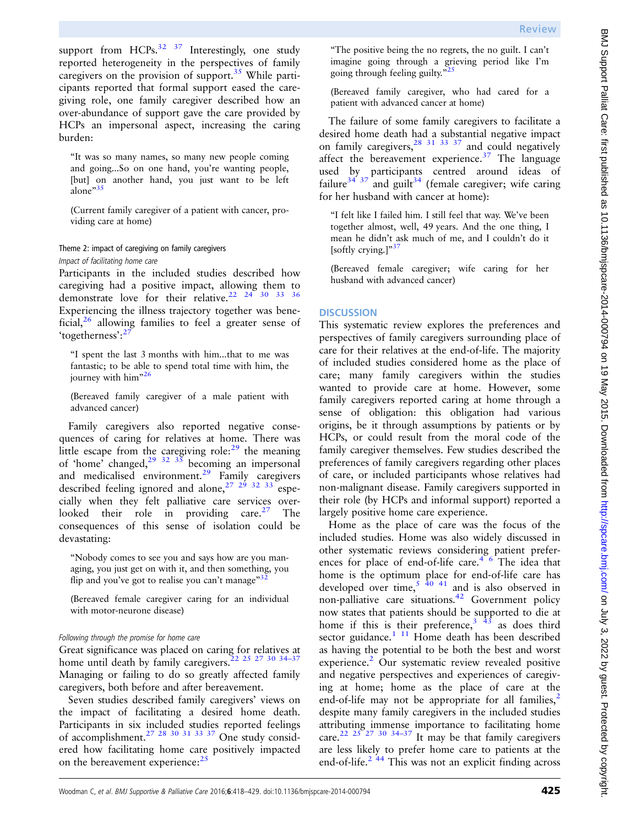support from HCPs. $32 \frac{37}{10}$  Interestingly, one study reported heterogeneity in the perspectives of family caregivers on the provision of support.<sup>35</sup> While participants reported that formal support eased the caregiving role, one family caregiver described how an over-abundance of support gave the care provided by HCPs an impersonal aspect, increasing the caring burden:

"It was so many names, so many new people coming and going...So on one hand, you're wanting people, [but] on another hand, you just want to be left alone"[35](#page-10-0)

(Current family caregiver of a patient with cancer, providing care at home)

## Theme 2: impact of caregiving on family caregivers Impact of facilitating home care

Participants in the included studies described how caregiving had a positive impact, allowing them to demonstrate love for their relative.<sup>22</sup>  $^{24}$  30 33 36 Experiencing the illness trajectory together was beneficial,  $26$  allowing families to feel a greater sense of 'togetherness':<sup>[27](#page-10-0)</sup>

"I spent the last 3 months with him...that to me was fantastic; to be able to spend total time with him, the journey with him"<sup>[26](#page-10-0)</sup>

(Bereaved family caregiver of a male patient with advanced cancer)

Family caregivers also reported negative consequences of caring for relatives at home. There was little escape from the caregiving role: $2<sup>9</sup>$  the meaning of 'home' changed,<sup>[29 32 35](#page-10-0)</sup> becoming an impersonal and medicalised environment.<sup>[29](#page-10-0)</sup> Family caregivers described feeling ignored and alone,  $27 \frac{29}{32}$  32 33 especially when they felt palliative care services over-looked their role in providing care.<sup>[27](#page-10-0)</sup> The consequences of this sense of isolation could be devastating:

"Nobody comes to see you and says how are you managing, you just get on with it, and then something, you flip and you've got to realise you can't manage" $3<sup>32</sup>$  $3<sup>32</sup>$  $3<sup>32</sup>$ 

(Bereaved female caregiver caring for an individual with motor-neurone disease)

### Following through the promise for home care

Great significance was placed on caring for relatives at home until death by family caregivers.<sup>22</sup> <sup>25</sup> <sup>27</sup> <sup>30</sup> <sup>34-37</sup> Managing or failing to do so greatly affected family caregivers, both before and after bereavement.

Seven studies described family caregivers' views on the impact of facilitating a desired home death. Participants in six included studies reported feelings of accomplishment[.27 28 30 31 33 37](#page-10-0) One study considered how facilitating home care positively impacted on the bereavement experience:<sup>[25](#page-10-0)</sup>

"The positive being the no regrets, the no guilt. I can't imagine going through a grieving period like I'm going through feeling guilty."<sup>2</sup>

(Bereaved family caregiver, who had cared for a patient with advanced cancer at home)

The failure of some family caregivers to facilitate a desired home death had a substantial negative impact on family caregivers,  $28\frac{31}{31}$   $33\frac{37}{37}$  and could negatively affect the bereavement experience.<sup>[37](#page-10-0)</sup> The language used by participants centred around ideas of failure<sup>[34 37](#page-10-0)</sup> and guilt<sup>[34](#page-10-0)</sup> (female caregiver; wife caring for her husband with cancer at home):

"I felt like I failed him. I still feel that way. We've been together almost, well, 49 years. And the one thing, I mean he didn't ask much of me, and I couldn't do it [softly crying.] $^{37}$  $^{37}$  $^{37}$ 

(Bereaved female caregiver; wife caring for her husband with advanced cancer)

## **DISCUSSION**

This systematic review explores the preferences and perspectives of family caregivers surrounding place of care for their relatives at the end-of-life. The majority of included studies considered home as the place of care; many family caregivers within the studies wanted to provide care at home. However, some family caregivers reported caring at home through a sense of obligation: this obligation had various origins, be it through assumptions by patients or by HCPs, or could result from the moral code of the family caregiver themselves. Few studies described the preferences of family caregivers regarding other places of care, or included participants whose relatives had non-malignant disease. Family caregivers supported in their role (by HCPs and informal support) reported a largely positive home care experience.

Home as the place of care was the focus of the included studies. Home was also widely discussed in other systematic reviews considering patient preferences for place of end-of-life care. $4/6$  The idea that home is the optimum place for end-of-life care has developed over time, $5\frac{40.41}{40}$  $5\frac{40.41}{40}$  and is also observed in non-palliative care situations.[42](#page-10-0) Government policy now states that patients should be supported to die at home if this is their preference,  $3^{3}$  $3^{3}$  [43](#page-10-0) as does third sector guidance. $1 \t11$  $1 \t11$  Home death has been described as having the potential to be both the best and worst experience.<sup>[2](#page-9-0)</sup> Our systematic review revealed positive and negative perspectives and experiences of caregiving at home; home as the place of care at the end-of-life may not be appropriate for all families,<sup>[2](#page-9-0)</sup> despite many family caregivers in the included studies attributing immense importance to facilitating home care.<sup>[22 25 27 30](#page-10-0) 34-[37](#page-10-0)</sup> It may be that family caregivers are less likely to prefer home care to patients at the end-of-life. $2^{44}$  $2^{44}$  This was not an explicit finding across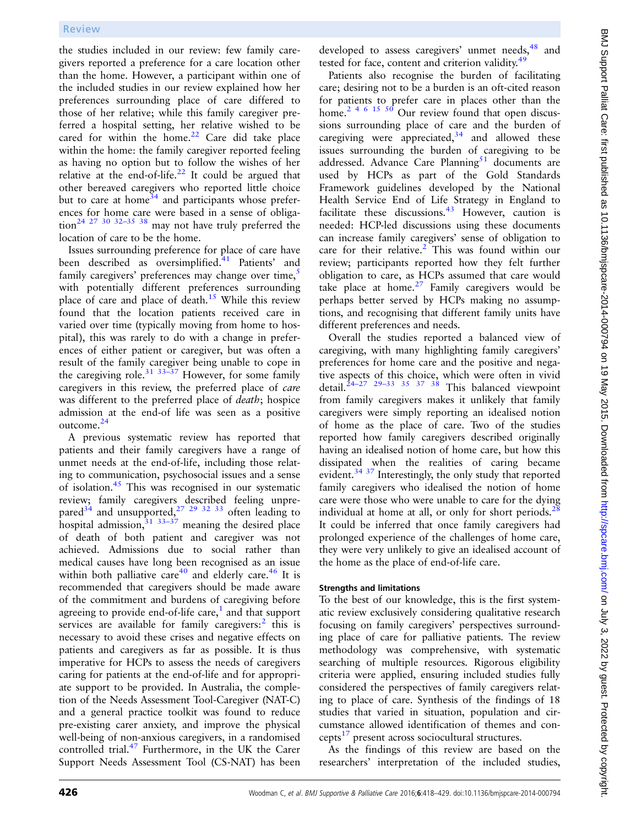the studies included in our review: few family caregivers reported a preference for a care location other than the home. However, a participant within one of the included studies in our review explained how her preferences surrounding place of care differed to those of her relative; while this family caregiver preferred a hospital setting, her relative wished to be cared for within the home.<sup>22</sup> Care did take place within the home: the family caregiver reported feeling as having no option but to follow the wishes of her relative at the end-of-life. $^{22}$  $^{22}$  $^{22}$  It could be argued that other bereaved caregivers who reported little choice but to care at home<sup>[34](#page-10-0)</sup> and participants whose preferences for home care were based in a sense of obliga- $\frac{1}{24}$   $\frac{27}{27}$  30 32-35 [38](#page-10-0) may not have truly preferred the location of care to be the home.

Issues surrounding preference for place of care have been described as oversimplified.<sup>[41](#page-10-0)</sup> Patients' and family caregivers' preferences may change over time,<sup>[5](#page-9-0)</sup> with potentially different preferences surrounding place of care and place of death.<sup>[15](#page-10-0)</sup> While this review found that the location patients received care in varied over time (typically moving from home to hospital), this was rarely to do with a change in preferences of either patient or caregiver, but was often a result of the family caregiver being unable to cope in the caregiving role.<sup>31 33–37</sup> However, for some family caregivers in this review, the preferred place of care was different to the preferred place of death; hospice admission at the end-of life was seen as a positive outcome.[24](#page-10-0)

A previous systematic review has reported that patients and their family caregivers have a range of unmet needs at the end-of-life, including those relating to communication, psychosocial issues and a sense of isolation. $45$  This was recognised in our systematic review; family caregivers described feeling unprepared $^{34}$  $^{34}$  $^{34}$  and unsupported, $^{27}$   $^{29}$   $^{32}$   $^{33}$  often leading to hospital admission, $31 \frac{33-37}{7}$  meaning the desired place of death of both patient and caregiver was not achieved. Admissions due to social rather than medical causes have long been recognised as an issue within both palliative care<sup>[40](#page-10-0)</sup> and elderly care.<sup>[46](#page-10-0)</sup> It is recommended that caregivers should be made aware of the commitment and burdens of caregiving before agreeing to provide end-of-life care, $<sup>1</sup>$  $<sup>1</sup>$  $<sup>1</sup>$  and that support</sup> services are available for family caregivers: $\frac{2}{1}$  $\frac{2}{1}$  $\frac{2}{1}$  this is necessary to avoid these crises and negative effects on patients and caregivers as far as possible. It is thus imperative for HCPs to assess the needs of caregivers caring for patients at the end-of-life and for appropriate support to be provided. In Australia, the completion of the Needs Assessment Tool-Caregiver (NAT-C) and a general practice toolkit was found to reduce pre-existing carer anxiety, and improve the physical well-being of non-anxious caregivers, in a randomised controlled trial.[47](#page-10-0) Furthermore, in the UK the Carer Support Needs Assessment Tool (CS-NAT) has been

developed to assess caregivers' unmet needs,<sup>[48](#page-10-0)</sup> and tested for face, content and criterion validity.<sup>[49](#page-11-0)</sup>

Patients also recognise the burden of facilitating care; desiring not to be a burden is an oft-cited reason for patients to prefer care in places other than the home.<sup>2</sup> <sup>4 6</sup> <sup>15</sup> <sup>50</sup> Our review found that open discussions surrounding place of care and the burden of caregiving were appreciated,  $34$  and allowed these issues surrounding the burden of caregiving to be addressed. Advance Care Planning $51$  documents are used by HCPs as part of the Gold Standards Framework guidelines developed by the National Health Service End of Life Strategy in England to facilitate these discussions. $^{43}$  $^{43}$  $^{43}$  However, caution is needed: HCP-led discussions using these documents can increase family caregivers' sense of obligation to care for their relative.<sup>[2](#page-9-0)</sup> This was found within our review; participants reported how they felt further obligation to care, as HCPs assumed that care would take place at home. $27$  Family caregivers would be perhaps better served by HCPs making no assumptions, and recognising that different family units have different preferences and needs.

Overall the studies reported a balanced view of caregiving, with many highlighting family caregivers' preferences for home care and the positive and negative aspects of this choice, which were often in vivid detail.<sup>24–27</sup> <sup>29–33</sup> <sup>35</sup> <sup>37</sup> <sup>38</sup> This balanced viewpoint from family caregivers makes it unlikely that family caregivers were simply reporting an idealised notion of home as the place of care. Two of the studies reported how family caregivers described originally having an idealised notion of home care, but how this dissipated when the realities of caring became evident.[34 37](#page-10-0) Interestingly, the only study that reported family caregivers who idealised the notion of home care were those who were unable to care for the dying individual at home at all, or only for short periods. $28$ It could be inferred that once family caregivers had prolonged experience of the challenges of home care, they were very unlikely to give an idealised account of the home as the place of end-of-life care.

## Strengths and limitations

To the best of our knowledge, this is the first systematic review exclusively considering qualitative research focusing on family caregivers' perspectives surrounding place of care for palliative patients. The review methodology was comprehensive, with systematic searching of multiple resources. Rigorous eligibility criteria were applied, ensuring included studies fully considered the perspectives of family caregivers relating to place of care. Synthesis of the findings of 18 studies that varied in situation, population and circumstance allowed identification of themes and con- $cepts<sup>17</sup>$  $cepts<sup>17</sup>$  $cepts<sup>17</sup>$  present across sociocultural structures.

As the findings of this review are based on the researchers' interpretation of the included studies,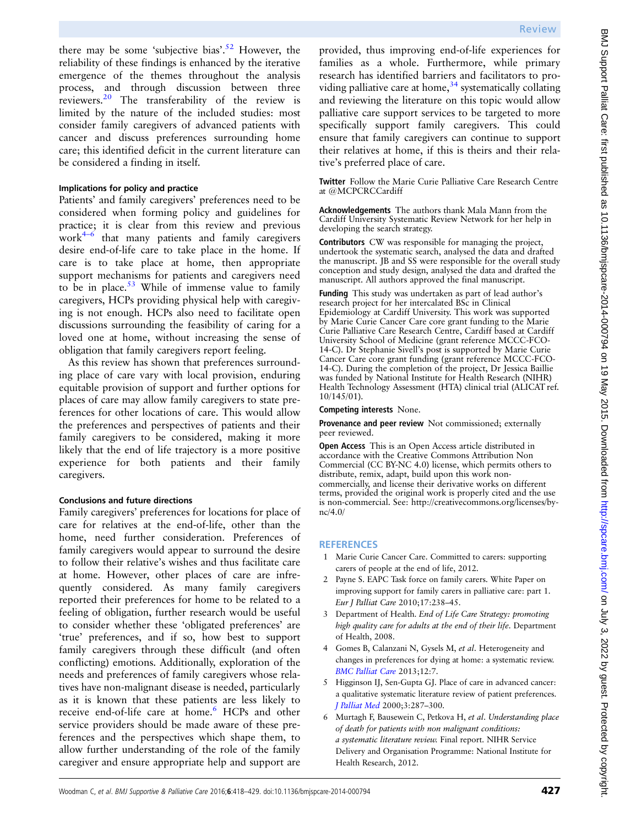<span id="page-9-0"></span>there may be some 'subjective bias'.<sup>[52](#page-11-0)</sup> However, the reliability of these findings is enhanced by the iterative emergence of the themes throughout the analysis process, and through discussion between three reviewers.[20](#page-10-0) The transferability of the review is limited by the nature of the included studies: most consider family caregivers of advanced patients with cancer and discuss preferences surrounding home care; this identified deficit in the current literature can be considered a finding in itself.

## Implications for policy and practice

Patients' and family caregivers' preferences need to be considered when forming policy and guidelines for practice; it is clear from this review and previous work4–<sup>6</sup> that many patients and family caregivers desire end-of-life care to take place in the home. If care is to take place at home, then appropriate support mechanisms for patients and caregivers need to be in place. $53$  While of immense value to family caregivers, HCPs providing physical help with caregiving is not enough. HCPs also need to facilitate open discussions surrounding the feasibility of caring for a loved one at home, without increasing the sense of obligation that family caregivers report feeling.

As this review has shown that preferences surrounding place of care vary with local provision, enduring equitable provision of support and further options for places of care may allow family caregivers to state preferences for other locations of care. This would allow the preferences and perspectives of patients and their family caregivers to be considered, making it more likely that the end of life trajectory is a more positive experience for both patients and their family caregivers.

### Conclusions and future directions

Family caregivers' preferences for locations for place of care for relatives at the end-of-life, other than the home, need further consideration. Preferences of family caregivers would appear to surround the desire to follow their relative's wishes and thus facilitate care at home. However, other places of care are infrequently considered. As many family caregivers reported their preferences for home to be related to a feeling of obligation, further research would be useful to consider whether these 'obligated preferences' are 'true' preferences, and if so, how best to support family caregivers through these difficult (and often conflicting) emotions. Additionally, exploration of the needs and preferences of family caregivers whose relatives have non-malignant disease is needed, particularly as it is known that these patients are less likely to receive end-of-life care at home.<sup>6</sup> HCPs and other service providers should be made aware of these preferences and the perspectives which shape them, to allow further understanding of the role of the family caregiver and ensure appropriate help and support are

provided, thus improving end-of-life experiences for families as a whole. Furthermore, while primary research has identified barriers and facilitators to providing palliative care at home, $34$  systematically collating and reviewing the literature on this topic would allow palliative care support services to be targeted to more specifically support family caregivers. This could ensure that family caregivers can continue to support their relatives at home, if this is theirs and their relative's preferred place of care.

Twitter Follow the Marie Curie Palliative Care Research Centre at [@MCPCRCCardiff](http://twitter.com/MCPCRCCardiff)

Acknowledgements The authors thank Mala Mann from the Cardiff University Systematic Review Network for her help in developing the search strategy.

Contributors CW was responsible for managing the project, undertook the systematic search, analysed the data and drafted the manuscript. JB and SS were responsible for the overall study conception and study design, analysed the data and drafted the manuscript. All authors approved the final manuscript.

Funding This study was undertaken as part of lead author's research project for her intercalated BSc in Clinical Epidemiology at Cardiff University. This work was supported by Marie Curie Cancer Care core grant funding to the Marie Curie Palliative Care Research Centre, Cardiff based at Cardiff University School of Medicine (grant reference MCCC-FCO-14-C). Dr Stephanie Sivell's post is supported by Marie Curie Cancer Care core grant funding (grant reference MCCC-FCO-14-C). During the completion of the project, Dr Jessica Baillie was funded by National Institute for Health Research (NIHR) Health Technology Assessment (HTA) clinical trial (ALICAT ref. 10/145/01).

#### Competing interests None.

Provenance and peer review Not commissioned; externally peer reviewed.

Open Access This is an Open Access article distributed in accordance with the Creative Commons Attribution Non Commercial (CC BY-NC 4.0) license, which permits others to distribute, remix, adapt, build upon this work noncommercially, and license their derivative works on different terms, provided the original work is properly cited and the use is non-commercial. See: [http://creativecommons.org/licenses/by](http://creativecommons.org/licenses/by-nc/4.0/)[nc/4.0/](http://creativecommons.org/licenses/by-nc/4.0/)

## **REFERENCES**

- 1 Marie Curie Cancer Care. Committed to carers: supporting carers of people at the end of life, 2012.
- 2 Payne S. EAPC Task force on family carers. White Paper on improving support for family carers in palliative care: part 1. Eur J Palliat Care 2010;17:238–45.
- 3 Department of Health. End of Life Care Strategy: promoting high quality care for adults at the end of their life. Department of Health, 2008.
- 4 Gomes B, Calanzani N, Gysels M, et al. Heterogeneity and changes in preferences for dying at home: a systematic review. [BMC Palliat Care](http://dx.doi.org/10.1186/1472-684X-12-7) 2013;12:7.
- Higginson IJ, Sen-Gupta GJ. Place of care in advanced cancer: a qualitative systematic literature review of patient preferences. [J Palliat Med](http://dx.doi.org/10.1089/jpm.2000.3.287) 2000;3:287–300.
- 6 Murtagh F, Bausewein C, Petkova H, et al. Understanding place of death for patients with non malignant conditions: a systematic literature review. Final report. NIHR Service Delivery and Organisation Programme: National Institute for Health Research, 2012.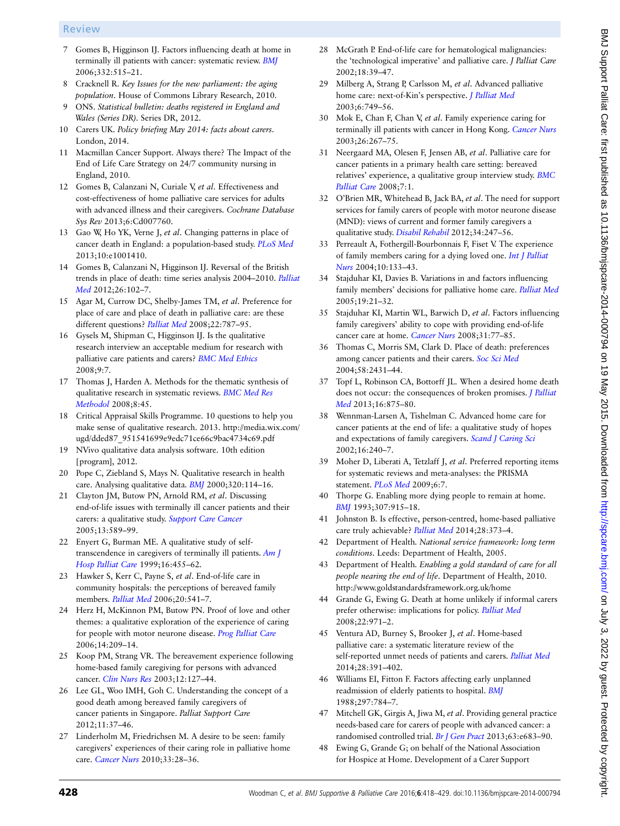### <span id="page-10-0"></span>Review

- 7 Gomes B, Higginson IJ. Factors influencing death at home in terminally ill patients with cancer: systematic review. [BMJ](http://dx.doi.org/10.1136/bmj.38740.614954.55) 2006;332:515–21.
- 8 Cracknell R. Key Issues for the new parliament: the aging population. House of Commons Library Research, 2010.
- 9 ONS. Statistical bulletin: deaths registered in England and Wales (Series DR). Series DR, 2012.
- 10 Carers UK. Policy briefing May 2014: facts about carers. London, 2014.
- 11 Macmillan Cancer Support. Always there? The Impact of the End of Life Care Strategy on 24/7 community nursing in England, 2010.
- 12 Gomes B, Calanzani N, Curiale V, et al. Effectiveness and cost-effectiveness of home palliative care services for adults with advanced illness and their caregivers. Cochrane Database Sys Rev 2013;6:Cd007760.
- 13 Gao W, Ho YK, Verne J, et al. Changing patterns in place of cancer death in England: a population-based study. [PLoS Med](http://dx.doi.org/10.1371/journal.pmed.1001410) 2013;10:e1001410.
- 14 Gomes B, Calanzani N, Higginson IJ. Reversal of the British trends in place of death: time series analysis 2004–2010. [Palliat](http://dx.doi.org/10.1177/0269216311432329) [Med](http://dx.doi.org/10.1177/0269216311432329) 2012;26:102–7.
- 15 Agar M, Currow DC, Shelby-James TM, et al. Preference for place of care and place of death in palliative care: are these different questions? [Palliat Med](doi:10.1177/0269216308092287) 2008;22:787–95.
- 16 Gysels M, Shipman C, Higginson IJ. Is the qualitative research interview an acceptable medium for research with palliative care patients and carers? [BMC Med Ethics](http://dx.doi.org/10.1186/1472-6939-9-7) 2008;9:7.
- 17 Thomas J, Harden A. Methods for the thematic synthesis of qualitative research in systematic reviews. [BMC Med Res](http://dx.doi.org/10.1186/1471-2288-8-45) [Methodol](http://dx.doi.org/10.1186/1471-2288-8-45) 2008;8:45.
- 18 Critical Appraisal Skills Programme. 10 questions to help you make sense of qualitative research. 2013. [http://media.wix.com/](http://media.wix.com/ugd/dded87_951541699e9edc71ce66c9bac4734c69.pdf) [ugd/dded87\\_951541699e9edc71ce66c9bac4734c69.pdf](http://media.wix.com/ugd/dded87_951541699e9edc71ce66c9bac4734c69.pdf)
- 19 NVivo qualitative data analysis software. 10th edition [program], 2012.
- 20 Pope C, Ziebland S, Mays N. Qualitative research in health care. Analysing qualitative data. [BMJ](http://dx.doi.org/10.1136/bmj.320.7227.114) 2000;320:114–16.
- 21 Clayton JM, Butow PN, Arnold RM, et al. Discussing end-of-life issues with terminally ill cancer patients and their carers: a qualitative study. [Support Care Cancer](http://dx.doi.org/10.1007/s00520-004-0759-2) 2005;13:589–99.
- 22 Enyert G, Burman ME. A qualitative study of selftranscendence in caregivers of terminally ill patients. [Am J](http://dx.doi.org/10.1177/104990919901600207) [Hosp Palliat Care](http://dx.doi.org/10.1177/104990919901600207) 1999;16:455–62.
- 23 Hawker S, Kerr C, Payne S, et al. End-of-life care in community hospitals: the perceptions of bereaved family members. [Palliat Med](http://dx.doi.org/10.1191/0269216306pm1170oa) 2006;20:541-7.
- 24 Herz H, McKinnon PM, Butow PN. Proof of love and other themes: a qualitative exploration of the experience of caring for people with motor neurone disease. [Prog Palliat Care](http://dx.doi.org/10.1179/096992606X146354) 2006;14:209–14.
- 25 Koop PM, Strang VR. The bereavement experience following home-based family caregiving for persons with advanced cancer. [Clin Nurs Res](http://dx.doi.org/10.1177/1054773803012002002) 2003;12:127–44.
- 26 Lee GL, Woo IMH, Goh C. Understanding the concept of a good death among bereaved family caregivers of cancer patients in Singapore. Palliat Support Care 2012;11:37–46.
- 27 Linderholm M, Friedrichsen M. A desire to be seen: family caregivers' experiences of their caring role in palliative home care. [Cancer Nurs](http://dx.doi.org/10.1097/NCC.0b013e3181af4f61) 2010;33:28–36.
- 28 McGrath P. End-of-life care for hematological malignancies: the 'technological imperative' and palliative care. J Palliat Care 2002;18:39–47.
- 29 Milberg A, Strang P, Carlsson M, et al. Advanced palliative home care: next-of-Kin's perspective. *[J Palliat Med](http://dx.doi.org/10.1089/109662103322515257)* 2003;6:749–56.
- 30 Mok E, Chan F, Chan V, et al. Family experience caring for terminally ill patients with cancer in Hong Kong. [Cancer Nurs](http://dx.doi.org/10.1097/00002820-200308000-00003) 2003;26:267–75.
- 31 Neergaard MA, Olesen F, Jensen AB, et al. Palliative care for cancer patients in a primary health care setting: bereaved relatives' experience, a qualitative group interview study. [BMC](http://dx.doi.org/10.1186/1472-684X-7-1) [Palliat Care](http://dx.doi.org/10.1186/1472-684X-7-1) 2008;7:1.
- 32 O'Brien MR, Whitehead B, Jack BA, et al. The need for support services for family carers of people with motor neurone disease (MND): views of current and former family caregivers a qualitative study. [Disabil Rehabil](http://dx.doi.org/10.3109/09638288.2011.605511) 2012;34:247-56.
- 33 Perreault A, Fothergill-Bourbonnais F, Fiset V. The experience of family members caring for a dying loved one. [Int J Palliat](http://dx.doi.org/10.12968/ijpn.2004.10.3.12469) [Nurs](http://dx.doi.org/10.12968/ijpn.2004.10.3.12469) 2004;10:133–43.
- 34 Stajduhar KI, Davies B. Variations in and factors influencing family members' decisions for palliative home care. [Palliat Med](http://dx.doi.org/10.1191/0269216305pm963oa) 2005;19:21–32.
- 35 Stajduhar KI, Martin WL, Barwich D, et al. Factors influencing family caregivers' ability to cope with providing end-of-life cancer care at home. [Cancer Nurs](http://dx.doi.org/10.1097/01.NCC.0000305686.36637.b5) 2008;31:77-85.
- 36 Thomas C, Morris SM, Clark D. Place of death: preferences among cancer patients and their carers. [Soc Sci Med](http://dx.doi.org/10.1016/j.socscimed.2003.09.005) 2004;58:2431–44.
- 37 Topf L, Robinson CA, Bottorff JL. When a desired home death does not occur: the consequences of broken promises. *[J Palliat](http://dx.doi.org/10.1089/jpm.2012.0541)* [Med](http://dx.doi.org/10.1089/jpm.2012.0541) 2013;16:875–80.
- 38 Wennman-Larsen A, Tishelman C. Advanced home care for cancer patients at the end of life: a qualitative study of hopes and expectations of family caregivers. [Scand J Caring Sci](http://dx.doi.org/10.1046/j.1471-6712.2002.00091.x) 2002;16:240–7.
- 39 Moher D, Liberati A, Tetzlaff J, et al. Preferred reporting items for systematic reviews and meta-analyses: the PRISMA statement. [PLoS Med](http://dx.doi.org/10.1371/journal.pmed.1000097) 2009;6:7.
- 40 Thorpe G. Enabling more dying people to remain at home. [BMJ](http://dx.doi.org/10.1136/bmj.307.6909.915) 1993;307:915–18.
- 41 Johnston B. Is effective, person-centred, home-based palliative care truly achievable? [Palliat Med](http://dx.doi.org/10.1177/0269216314529858) 2014;28:373-4.
- 42 Department of Health. National service framework: long term conditions. Leeds: Department of Health, 2005.
- 43 Department of Health. Enabling a gold standard of care for all people nearing the end of life. Department of Health, 2010. <http://www.goldstandardsframework.org.uk/home>
- 44 Grande G, Ewing G. Death at home unlikely if informal carers prefer otherwise: implications for policy. [Palliat Med](http://dx.doi.org/10.1177/0269216308098805) 2008;22:971–2.
- 45 Ventura AD, Burney S, Brooker J, et al. Home-based palliative care: a systematic literature review of the self-reported unmet needs of patients and carers. [Palliat Med](http://dx.doi.org/10.1177/0269216313511141) 2014;28:391–402.
- 46 Williams EI, Fitton F. Factors affecting early unplanned readmission of elderly patients to hospital. [BMJ](http://dx.doi.org/10.1136/bmj.297.6651.784) 1988;297:784–7.
- 47 Mitchell GK, Girgis A, Jiwa M, et al. Providing general practice needs-based care for carers of people with advanced cancer: a randomised controlled trial. [Br J Gen Pract](http://dx.doi.org/10.3399/bjgp13X673694) 2013;63:e683-90.
- 48 Ewing G, Grande G; on behalf of the National Association for Hospice at Home. Development of a Carer Support